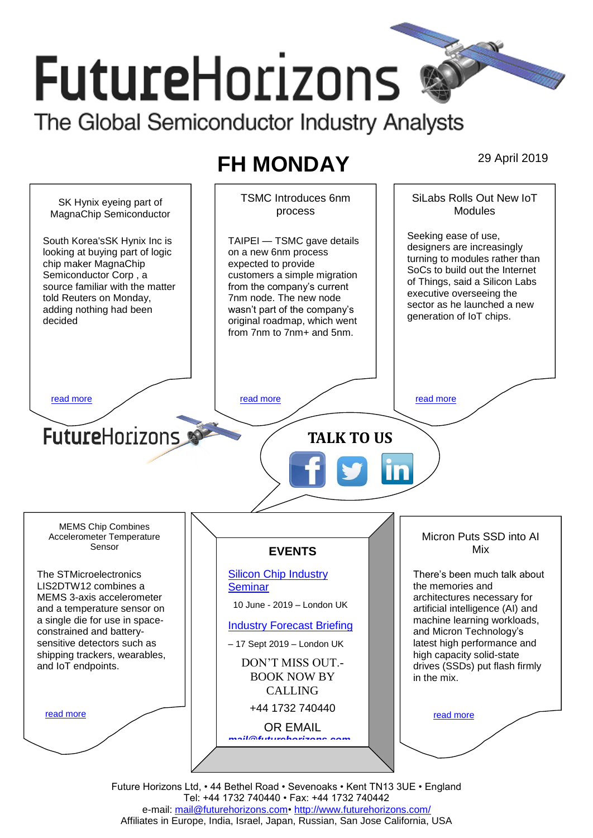# **FutureHorizons** The Global Semiconductor Industry Analysts

# **FH MONDAY** 29 April 2019

SiLabs Rolls Out New IoT **Modules** 



Future Horizons Ltd, • 44 Bethel Road • Sevenoaks • Kent TN13 3UE • England Tel: +44 1732 740440 • Fax: +44 1732 740442 e-mail: [mail@futurehorizons.com•](../FH%20Monday%20-%202017/mail@futurehorizons.com)<http://www.futurehorizons.com/> Affiliates in Europe, India, Israel, Japan, Russian, San Jose California, USA